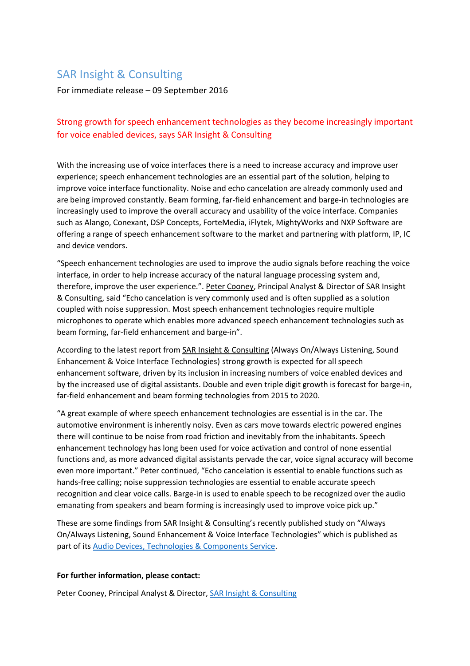## SAR Insight & Consulting

For immediate release – 09 September 2016

## Strong growth for speech enhancement technologies as they become increasingly important for voice enabled devices, says SAR Insight & Consulting

With the increasing use of voice interfaces there is a need to increase accuracy and improve user experience; speech enhancement technologies are an essential part of the solution, helping to improve voice interface functionality. Noise and echo cancelation are already commonly used and are being improved constantly. Beam forming, far-field enhancement and barge-in technologies are increasingly used to improve the overall accuracy and usability of the voice interface. Companies such as Alango, Conexant, DSP Concepts, ForteMedia, iFlytek, MightyWorks and NXP Software are offering a range of speech enhancement software to the market and partnering with platform, IP, IC and device vendors.

"Speech enhancement technologies are used to improve the audio signals before reaching the voice interface, in order to help increase accuracy of the natural language processing system and, therefore, improve the user experience.". Peter [Cooney,](mailto:peter@sensianresearch.com?subject=HRA%20Press%20Release) Principal Analyst & Director of SAR Insight & Consulting, said "Echo cancelation is very commonly used and is often supplied as a solution coupled with noise suppression. Most speech enhancement technologies require multiple microphones to operate which enables more advanced speech enhancement technologies such as beam forming, far-field enhancement and barge-in".

According to the latest report from SAR Insight & [Consulting](http://www.sarinsight.com/) (Always On/Always Listening, Sound Enhancement & Voice Interface Technologies) strong growth is expected for all speech enhancement software, driven by its inclusion in increasing numbers of voice enabled devices and by the increased use of digital assistants. Double and even triple digit growth is forecast for barge-in, far-field enhancement and beam forming technologies from 2015 to 2020.

"A great example of where speech enhancement technologies are essential is in the car. The automotive environment is inherently noisy. Even as cars move towards electric powered engines there will continue to be noise from road friction and inevitably from the inhabitants. Speech enhancement technology has long been used for voice activation and control of none essential functions and, as more advanced digital assistants pervade the car, voice signal accuracy will become even more important." Peter continued, "Echo cancelation is essential to enable functions such as hands-free calling; noise suppression technologies are essential to enable accurate speech recognition and clear voice calls. Barge-in is used to enable speech to be recognized over the audio emanating from speakers and beam forming is increasingly used to improve voice pick up."

These are some findings from SAR Insight & Consulting's recently published study on "Always On/Always Listening, Sound Enhancement & Voice Interface Technologies" which is published as part of its Audio Devices, [Technologies](http://www.sarinsight.com/wp-content/uploads/2015/04/Audio-Devices-Technologies-and-Components-Service-New.pdf) & Components Service.

## **For further information, please contact:**

Peter Cooney, Principal Analyst & Director, SAR Insight & [Consulting](http://www.sarinsight.com/)